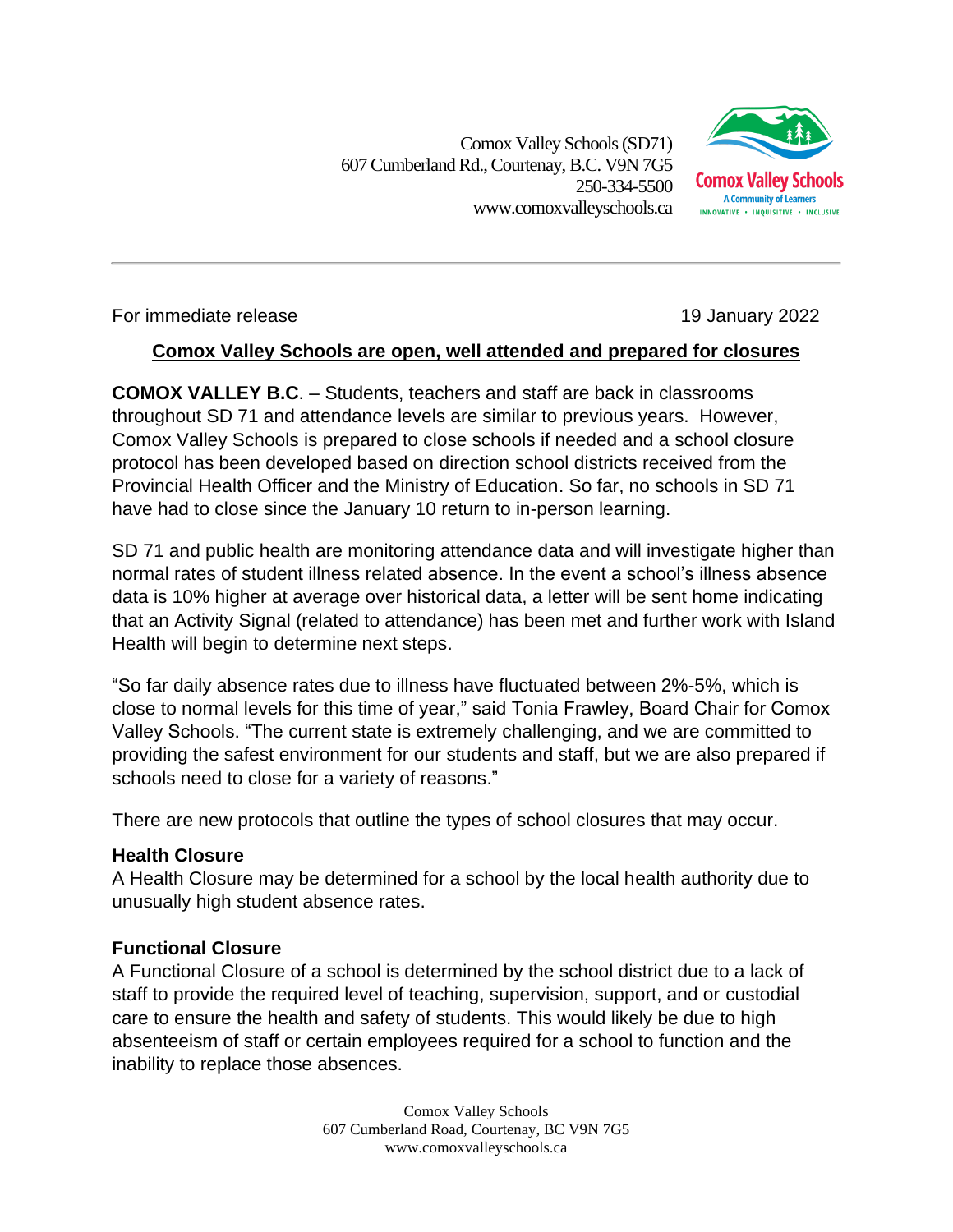Comox Valley Schools (SD71) 607 Cumberland Rd.,Courtenay, B.C. V9N 7G5 250-334-5500 www.comoxvalleyschools.ca



### For immediate release 19 January 2022

## **Comox Valley Schools are open, well attended and prepared for closures**

**COMOX VALLEY B.C**. – Students, teachers and staff are back in classrooms throughout SD 71 and attendance levels are similar to previous years. However, Comox Valley Schools is prepared to close schools if needed and a school closure protocol has been developed based on direction school districts received from the Provincial Health Officer and the Ministry of Education. So far, no schools in SD 71 have had to close since the January 10 return to in-person learning.

SD 71 and public health are monitoring attendance data and will investigate higher than normal rates of student illness related absence. In the event a school's illness absence data is 10% higher at average over historical data, a letter will be sent home indicating that an Activity Signal (related to attendance) has been met and further work with Island Health will begin to determine next steps.

"So far daily absence rates due to illness have fluctuated between 2%-5%, which is close to normal levels for this time of year," said Tonia Frawley, Board Chair for Comox Valley Schools. "The current state is extremely challenging, and we are committed to providing the safest environment for our students and staff, but we are also prepared if schools need to close for a variety of reasons."

There are new protocols that outline the types of school closures that may occur.

## **Health Closure**

A Health Closure may be determined for a school by the local health authority due to unusually high student absence rates.

# **Functional Closure**

A Functional Closure of a school is determined by the school district due to a lack of staff to provide the required level of teaching, supervision, support, and or custodial care to ensure the health and safety of students. This would likely be due to high absenteeism of staff or certain employees required for a school to function and the inability to replace those absences.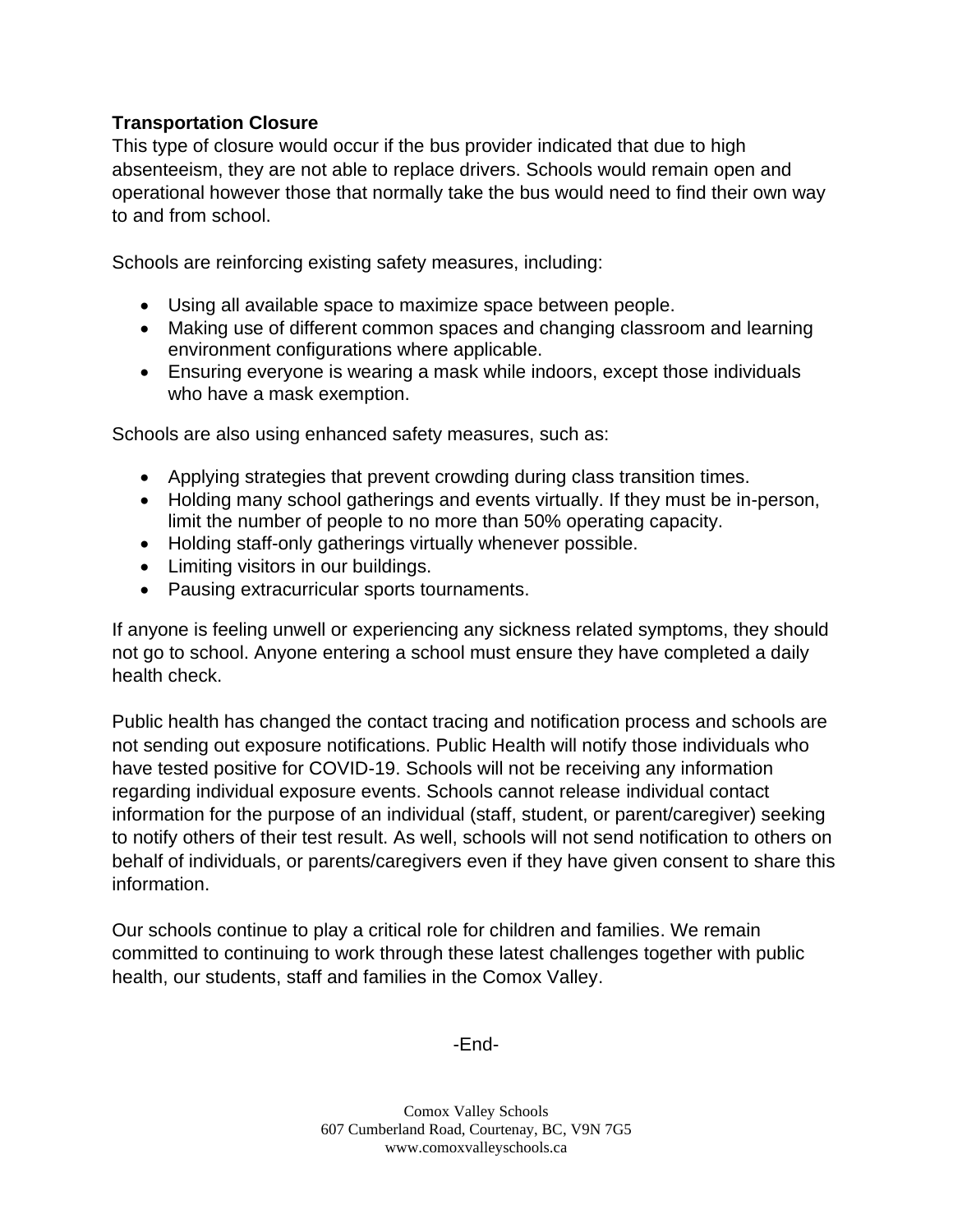## **Transportation Closure**

This type of closure would occur if the bus provider indicated that due to high absenteeism, they are not able to replace drivers. Schools would remain open and operational however those that normally take the bus would need to find their own way to and from school.

Schools are reinforcing existing safety measures, including:

- Using all available space to maximize space between people.
- Making use of different common spaces and changing classroom and learning environment configurations where applicable.
- Ensuring everyone is wearing a mask while indoors, except those individuals who have a mask exemption.

Schools are also using enhanced safety measures, such as:

- Applying strategies that prevent crowding during class transition times.
- Holding many school gatherings and events virtually. If they must be in-person, limit the number of people to no more than 50% operating capacity.
- Holding staff-only gatherings virtually whenever possible.
- Limiting visitors in our buildings.
- Pausing extracurricular sports tournaments.

If anyone is feeling unwell or experiencing any sickness related symptoms, they should not go to school. Anyone entering a school must ensure they have completed a daily health check.

Public health has changed the contact tracing and notification process and schools are not sending out exposure notifications. Public Health will notify those individuals who have tested positive for COVID-19. Schools will not be receiving any information regarding individual exposure events. Schools cannot release individual contact information for the purpose of an individual (staff, student, or parent/caregiver) seeking to notify others of their test result. As well, schools will not send notification to others on behalf of individuals, or parents/caregivers even if they have given consent to share this information.

Our schools continue to play a critical role for children and families. We remain committed to continuing to work through these latest challenges together with public health, our students, staff and families in the Comox Valley.

-End-

Comox Valley Schools 607 Cumberland Road, Courtenay, BC, V9N 7G5 www.comoxvalleyschools.ca